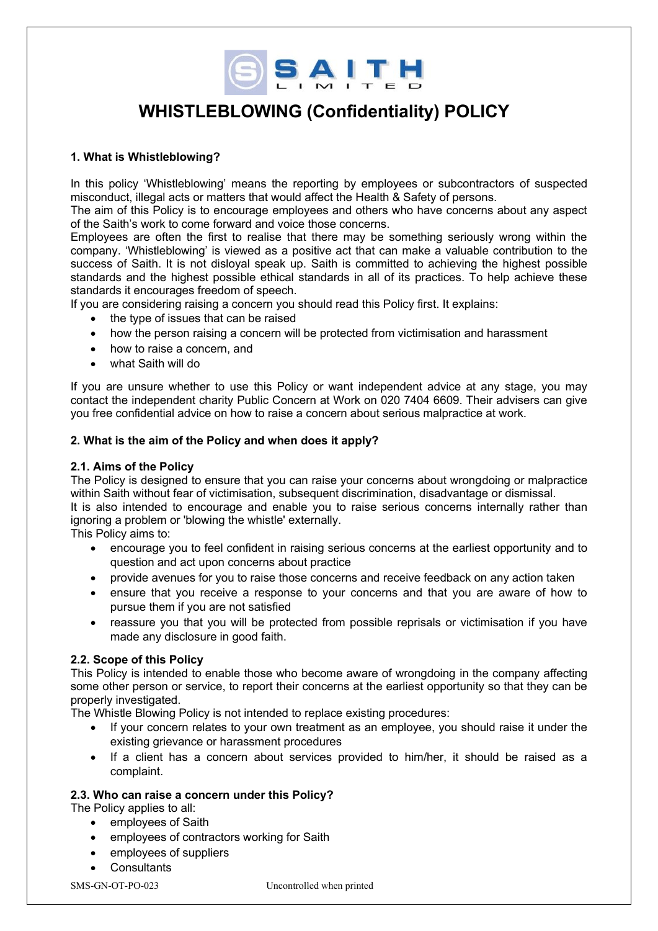

# **WHISTLEBLOWING (Confidentiality) POLICY**

# **1. What is Whistleblowing?**

In this policy 'Whistleblowing' means the reporting by employees or subcontractors of suspected misconduct, illegal acts or matters that would affect the Health & Safety of persons.

The aim of this Policy is to encourage employees and others who have concerns about any aspect of the Saith's work to come forward and voice those concerns.

Employees are often the first to realise that there may be something seriously wrong within the company. 'Whistleblowing' is viewed as a positive act that can make a valuable contribution to the success of Saith. It is not disloyal speak up. Saith is committed to achieving the highest possible standards and the highest possible ethical standards in all of its practices. To help achieve these standards it encourages freedom of speech.

If you are considering raising a concern you should read this Policy first. It explains:

- the type of issues that can be raised
- how the person raising a concern will be protected from victimisation and harassment
- how to raise a concern, and
- what Saith will do

If you are unsure whether to use this Policy or want independent advice at any stage, you may contact the independent charity Public Concern at Work on 020 7404 6609. Their advisers can give you free confidential advice on how to raise a concern about serious malpractice at work.

# **2. What is the aim of the Policy and when does it apply?**

#### **2.1. Aims of the Policy**

The Policy is designed to ensure that you can raise your concerns about wrongdoing or malpractice within Saith without fear of victimisation, subsequent discrimination, disadvantage or dismissal.

It is also intended to encourage and enable you to raise serious concerns internally rather than ignoring a problem or 'blowing the whistle' externally.

This Policy aims to:

- encourage you to feel confident in raising serious concerns at the earliest opportunity and to question and act upon concerns about practice
- provide avenues for you to raise those concerns and receive feedback on any action taken
- ensure that you receive a response to your concerns and that you are aware of how to pursue them if you are not satisfied
- reassure you that you will be protected from possible reprisals or victimisation if you have made any disclosure in good faith.

#### **2.2. Scope of this Policy**

This Policy is intended to enable those who become aware of wrongdoing in the company affecting some other person or service, to report their concerns at the earliest opportunity so that they can be properly investigated.

The Whistle Blowing Policy is not intended to replace existing procedures:

- If your concern relates to your own treatment as an employee, you should raise it under the existing grievance or harassment procedures
- If a client has a concern about services provided to him/her, it should be raised as a complaint.

#### **2.3. Who can raise a concern under this Policy?**

The Policy applies to all:

- employees of Saith
- employees of contractors working for Saith
- employees of suppliers
- Consultants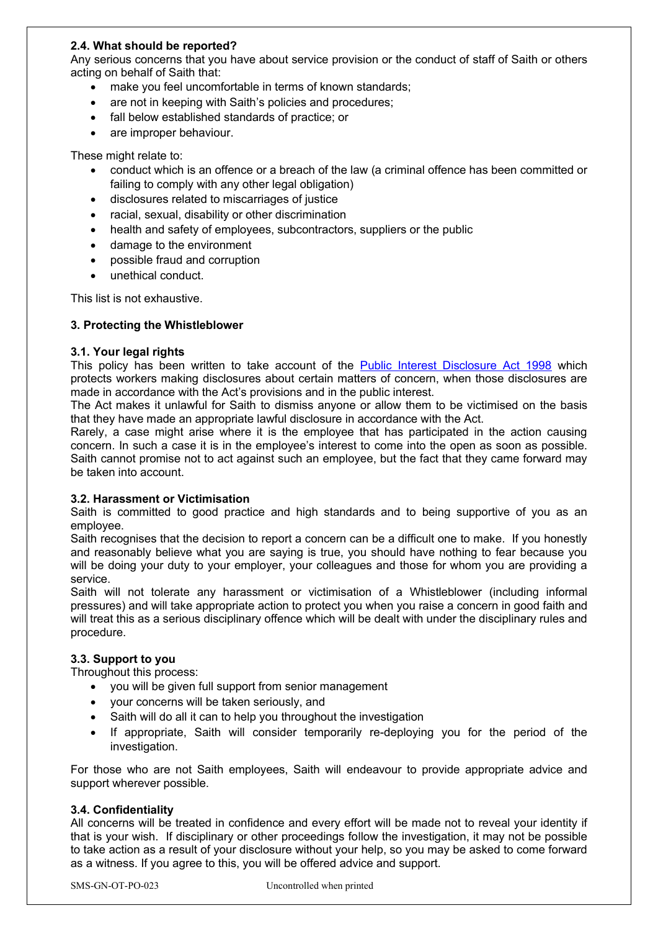# **2.4. What should be reported?**

Any serious concerns that you have about service provision or the conduct of staff of Saith or others acting on behalf of Saith that:

- make you feel uncomfortable in terms of known standards;
- are not in keeping with Saith's policies and procedures;
- fall below established standards of practice; or
- are improper behaviour.

These might relate to:

- conduct which is an offence or a breach of the law (a criminal offence has been committed or failing to comply with any other legal obligation)
- disclosures related to miscarriages of justice
- racial, sexual, disability or other discrimination
- health and safety of employees, subcontractors, suppliers or the public
- damage to the environment
- possible fraud and corruption
- unethical conduct.

This list is not exhaustive.

#### **3. Protecting the Whistleblower**

#### **3.1. Your legal rights**

This policy has been written to take account of the [Public Interest Disclosure Act 1998](https://www.legislation.gov.uk/ukpga/1998/23/contents) which protects workers making disclosures about certain matters of concern, when those disclosures are made in accordance with the Act's provisions and in the public interest.

The Act makes it unlawful for Saith to dismiss anyone or allow them to be victimised on the basis that they have made an appropriate lawful disclosure in accordance with the Act.

Rarely, a case might arise where it is the employee that has participated in the action causing concern. In such a case it is in the employee's interest to come into the open as soon as possible. Saith cannot promise not to act against such an employee, but the fact that they came forward may be taken into account.

#### **3.2. Harassment or Victimisation**

Saith is committed to good practice and high standards and to being supportive of you as an employee.

Saith recognises that the decision to report a concern can be a difficult one to make. If you honestly and reasonably believe what you are saying is true, you should have nothing to fear because you will be doing your duty to your employer, your colleagues and those for whom you are providing a service.

Saith will not tolerate any harassment or victimisation of a Whistleblower (including informal pressures) and will take appropriate action to protect you when you raise a concern in good faith and will treat this as a serious disciplinary offence which will be dealt with under the disciplinary rules and procedure.

# **3.3. Support to you**

Throughout this process:

- you will be given full support from senior management
- your concerns will be taken seriously, and
- Saith will do all it can to help you throughout the investigation
- If appropriate, Saith will consider temporarily re-deploying you for the period of the investigation.

For those who are not Saith employees, Saith will endeavour to provide appropriate advice and support wherever possible.

#### **3.4. Confidentiality**

All concerns will be treated in confidence and every effort will be made not to reveal your identity if that is your wish. If disciplinary or other proceedings follow the investigation, it may not be possible to take action as a result of your disclosure without your help, so you may be asked to come forward as a witness. If you agree to this, you will be offered advice and support.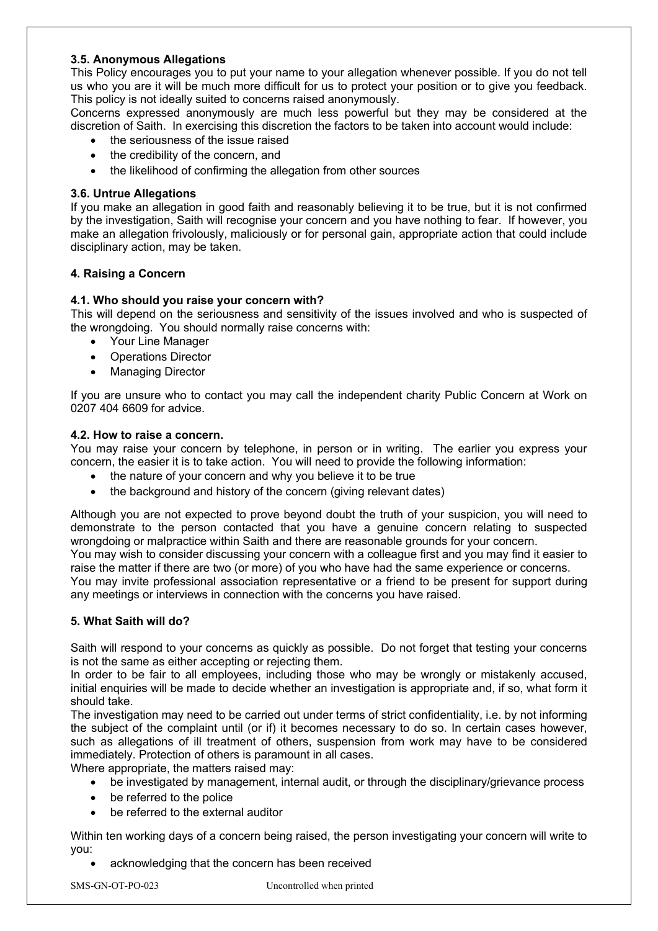# **3.5. Anonymous Allegations**

This Policy encourages you to put your name to your allegation whenever possible. If you do not tell us who you are it will be much more difficult for us to protect your position or to give you feedback. This policy is not ideally suited to concerns raised anonymously.

Concerns expressed anonymously are much less powerful but they may be considered at the discretion of Saith. In exercising this discretion the factors to be taken into account would include:

- the seriousness of the issue raised
- the credibility of the concern, and
- the likelihood of confirming the allegation from other sources

### **3.6. Untrue Allegations**

If you make an allegation in good faith and reasonably believing it to be true, but it is not confirmed by the investigation, Saith will recognise your concern and you have nothing to fear. If however, you make an allegation frivolously, maliciously or for personal gain, appropriate action that could include disciplinary action, may be taken.

# **4. Raising a Concern**

# **4.1. Who should you raise your concern with?**

This will depend on the seriousness and sensitivity of the issues involved and who is suspected of the wrongdoing. You should normally raise concerns with:

- Your Line Manager
- Operations Director
- Managing Director

If you are unsure who to contact you may call the independent charity Public Concern at Work on 0207 404 6609 for advice.

#### **4.2. How to raise a concern.**

You may raise your concern by telephone, in person or in writing. The earlier you express your concern, the easier it is to take action. You will need to provide the following information:

- the nature of your concern and why you believe it to be true
- the background and history of the concern (giving relevant dates)

Although you are not expected to prove beyond doubt the truth of your suspicion, you will need to demonstrate to the person contacted that you have a genuine concern relating to suspected wrongdoing or malpractice within Saith and there are reasonable grounds for your concern.

You may wish to consider discussing your concern with a colleague first and you may find it easier to raise the matter if there are two (or more) of you who have had the same experience or concerns.

You may invite professional association representative or a friend to be present for support during any meetings or interviews in connection with the concerns you have raised.

#### **5. What Saith will do?**

Saith will respond to your concerns as quickly as possible. Do not forget that testing your concerns is not the same as either accepting or rejecting them.

In order to be fair to all employees, including those who may be wrongly or mistakenly accused, initial enquiries will be made to decide whether an investigation is appropriate and, if so, what form it should take.

The investigation may need to be carried out under terms of strict confidentiality, i.e. by not informing the subject of the complaint until (or if) it becomes necessary to do so. In certain cases however, such as allegations of ill treatment of others, suspension from work may have to be considered immediately. Protection of others is paramount in all cases.

Where appropriate, the matters raised may:

- be investigated by management, internal audit, or through the disciplinary/grievance process
- be referred to the police
- be referred to the external auditor

Within ten working days of a concern being raised, the person investigating your concern will write to you:

acknowledging that the concern has been received